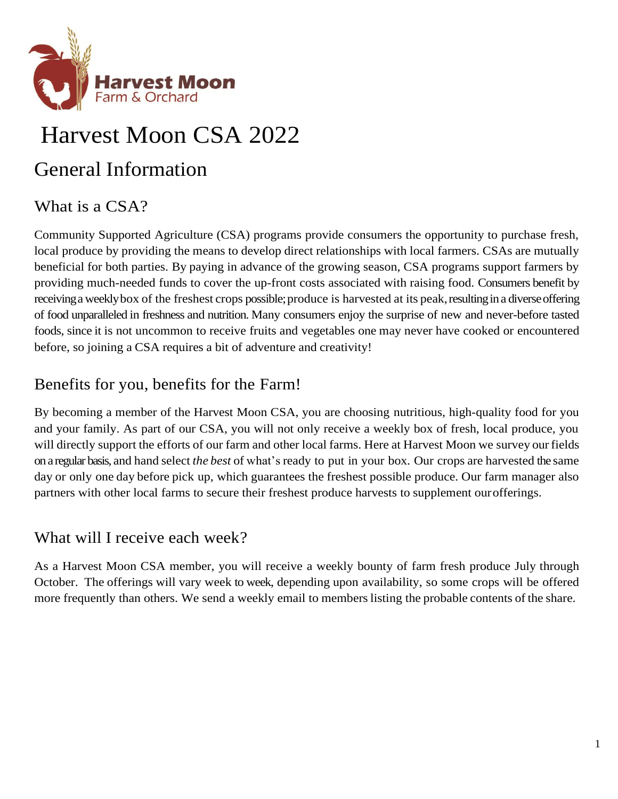

# Harvest Moon CSA 2022

# General Information

# What is a CSA?

Community Supported Agriculture (CSA) programs provide consumers the opportunity to purchase fresh, local produce by providing the means to develop direct relationships with local farmers. CSAs are mutually beneficial for both parties. By paying in advance of the growing season, CSA programs support farmers by providing much-needed funds to cover the up-front costs associated with raising food. Consumers benefit by receiving a weekly box of the freshest crops possible; produce is harvested at its peak, resulting in a diverse offering of food unparalleled in freshness and nutrition. Many consumers enjoy the surprise of new and never-before tasted foods, since it is not uncommon to receive fruits and vegetables one may never have cooked or encountered before, so joining a CSA requires a bit of adventure and creativity!

# Benefits for you, benefits for the Farm!

By becoming a member of the Harvest Moon CSA, you are choosing nutritious, high-quality food for you and your family. As part of our CSA, you will not only receive a weekly box of fresh, local produce, you will directly support the efforts of our farm and other local farms. Here at Harvest Moon we survey our fields on a regular basis, and hand select *the best* of what's ready to put in your box. Our crops are harvested the same day or only one day before pick up, which guarantees the freshest possible produce. Our farm manager also partners with other local farms to secure their freshest produce harvests to supplement ourofferings.

### What will I receive each week?

As a Harvest Moon CSA member, you will receive a weekly bounty of farm fresh produce July through October. The offerings will vary week to week, depending upon availability, so some crops will be offered more frequently than others. We send a weekly email to members listing the probable contents of the share.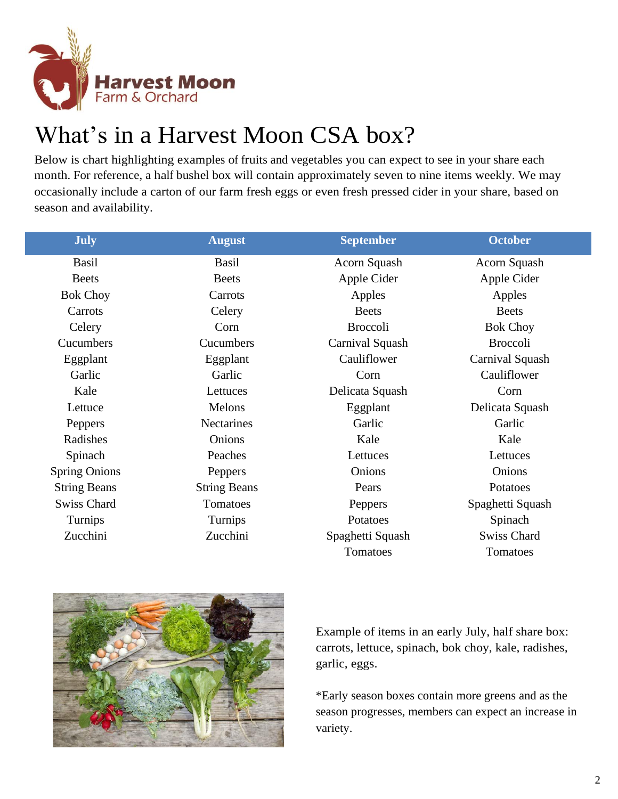

# What's in a Harvest Moon CSA box?

Below is chart highlighting examples of fruits and vegetables you can expect to see in your share each month. For reference, a half bushel box will contain approximately seven to nine items weekly. We may occasionally include a carton of our farm fresh eggs or even fresh pressed cider in your share, based on season and availability.

| <b>July</b>          | <b>August</b>       | <b>September</b> | <b>October</b>     |
|----------------------|---------------------|------------------|--------------------|
| <b>Basil</b>         | <b>Basil</b>        | Acorn Squash     | Acorn Squash       |
| <b>Beets</b>         | <b>Beets</b>        | Apple Cider      | Apple Cider        |
| <b>Bok Choy</b>      | Carrots             | Apples           | Apples             |
| Carrots              | Celery              | <b>Beets</b>     | <b>Beets</b>       |
| Celery               | Corn                | <b>Broccoli</b>  | <b>Bok Choy</b>    |
| Cucumbers            | Cucumbers           | Carnival Squash  | <b>Broccoli</b>    |
| Eggplant             | Eggplant            | Cauliflower      | Carnival Squash    |
| Garlic               | Garlic              | Corn             | Cauliflower        |
| Kale                 | Lettuces            | Delicata Squash  | Corn               |
| Lettuce              | Melons              | Eggplant         | Delicata Squash    |
| Peppers              | <b>Nectarines</b>   | Garlic           | Garlic             |
| Radishes             | Onions              | Kale             | Kale               |
| Spinach              | Peaches             | Lettuces         | Lettuces           |
| <b>Spring Onions</b> | Peppers             | Onions           | Onions             |
| <b>String Beans</b>  | <b>String Beans</b> | Pears            | Potatoes           |
| <b>Swiss Chard</b>   | Tomatoes            | Peppers          | Spaghetti Squash   |
| Turnips              | Turnips             | Potatoes         | Spinach            |
| Zucchini             | Zucchini            | Spaghetti Squash | <b>Swiss Chard</b> |
|                      |                     | Tomatoes         | Tomatoes           |



Example of items in an early July, half share box: carrots, lettuce, spinach, bok choy, kale, radishes, garlic, eggs.

\*Early season boxes contain more greens and as the season progresses, members can expect an increase in variety.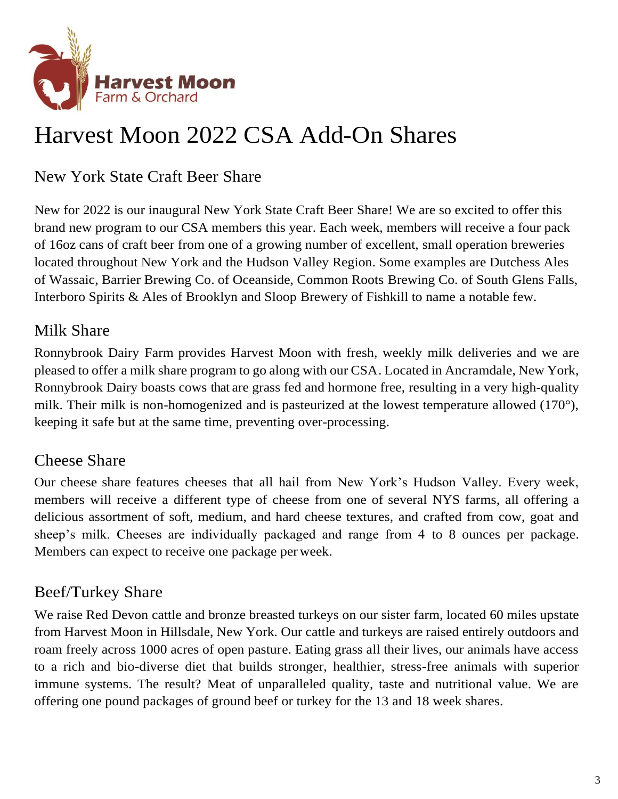

# Harvest Moon 2022 CSA Add-On Shares

New York State Craft Beer Share

New for 2022 is our inaugural New York State Craft Beer Share! We are so excited to offer this brand new program to our CSA members this year. Each week, members will receive a four pack of 16oz cans of craft beer from one of a growing number of excellent, small operation breweries located throughout New York and the Hudson Valley Region. Some examples are Dutchess Ales of Wassaic, Barrier Brewing Co. of Oceanside, Common Roots Brewing Co. of South Glens Falls, Interboro Spirits & Ales of Brooklyn and Sloop Brewery of Fishkill to name a notable few.

## Milk Share

Ronnybrook Dairy Farm provides Harvest Moon with fresh, weekly milk deliveries and we are pleased to offer a milk share program to go along with our CSA. Located in Ancramdale, New York, Ronnybrook Dairy boasts cows that are grass fed and hormone free, resulting in a very high-quality milk. Their milk is non-homogenized and is pasteurized at the lowest temperature allowed (170°), keeping it safe but at the same time, preventing over-processing.

### Cheese Share

Our cheese share features cheeses that all hail from New York's Hudson Valley. Every week, members will receive a different type of cheese from one of several NYS farms, all offering a delicious assortment of soft, medium, and hard cheese textures, and crafted from cow, goat and sheep's milk. Cheeses are individually packaged and range from 4 to 8 ounces per package. Members can expect to receive one package per week.

# Beef/Turkey Share

We raise Red Devon cattle and bronze breasted turkeys on our sister farm, located 60 miles upstate from Harvest Moon in Hillsdale, New York. Our cattle and turkeys are raised entirely outdoors and roam freely across 1000 acres of open pasture. Eating grass all their lives, our animals have access to a rich and bio-diverse diet that builds stronger, healthier, stress-free animals with superior immune systems. The result? Meat of unparalleled quality, taste and nutritional value. We are offering one pound packages of ground beef or turkey for the 13 and 18 week shares.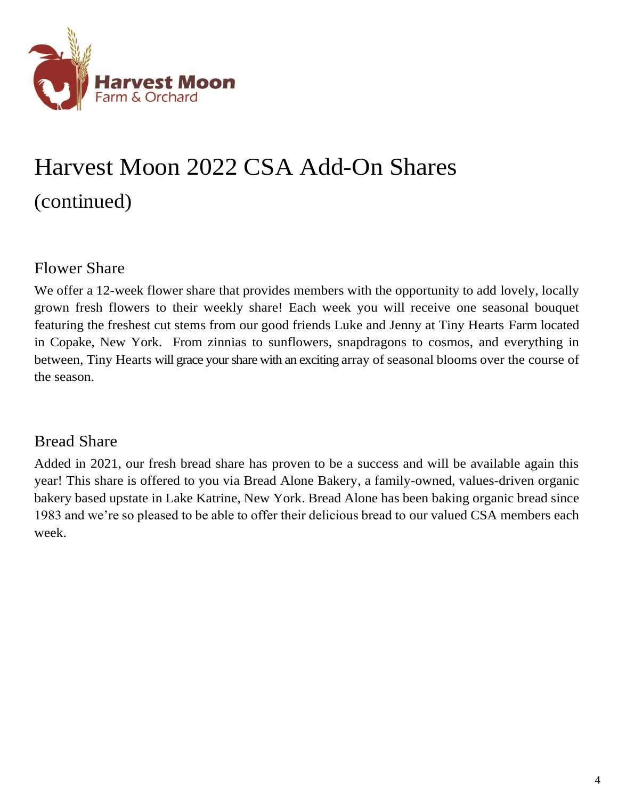

# Harvest Moon 2022 CSA Add-On Shares (continued)

### Flower Share

We offer a 12-week flower share that provides members with the opportunity to add lovely, locally grown fresh flowers to their weekly share! Each week you will receive one seasonal bouquet featuring the freshest cut stems from our good friends Luke and Jenny at Tiny Hearts Farm located in Copake, New York. From zinnias to sunflowers, snapdragons to cosmos, and everything in between, Tiny Hearts will grace your share with an exciting array of seasonal blooms over the course of the season.

### Bread Share

Added in 2021, our fresh bread share has proven to be a success and will be available again this year! This share is offered to you via Bread Alone Bakery, a family-owned, values-driven organic bakery based upstate in Lake Katrine, New York. Bread Alone has been baking organic bread since 1983 and we're so pleased to be able to offer their delicious bread to our valued CSA members each week.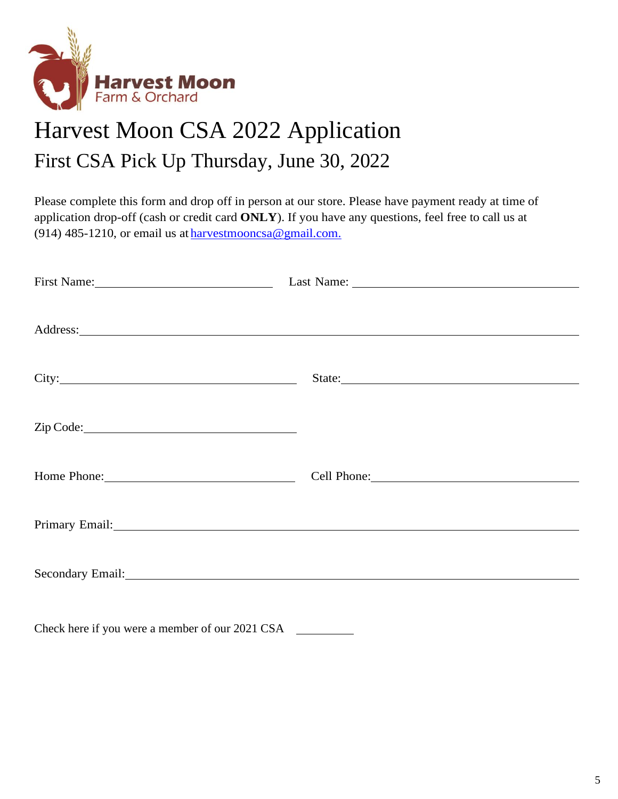

# Harvest Moon CSA 2022 Application First CSA Pick Up Thursday, June 30, 2022

Please complete this form and drop off in person at our store. Please have payment ready at time of application drop-off (cash or credit card **ONLY**). If you have any questions, feel free to call us at (914) 485-1210, or email us at [harvestmooncsa@gmail.com.](mailto:harvestmooncsa@gmail.com)

| First Name: 1000 million and 1000 million and 1000 million and 1000 million and 1000 million and 1000 million and 1000 million and 1000 million and 1000 million and 1000 million and 1000 million and 1000 million and 1000 m |                                                                                                                                                                                                                                      |
|--------------------------------------------------------------------------------------------------------------------------------------------------------------------------------------------------------------------------------|--------------------------------------------------------------------------------------------------------------------------------------------------------------------------------------------------------------------------------------|
|                                                                                                                                                                                                                                |                                                                                                                                                                                                                                      |
|                                                                                                                                                                                                                                | Address: <u>and the contract of the contract of the contract of the contract of the contract of the contract of the contract of the contract of the contract of the contract of the contract of the contract of the contract of </u> |
|                                                                                                                                                                                                                                |                                                                                                                                                                                                                                      |
|                                                                                                                                                                                                                                | State:                                                                                                                                                                                                                               |
|                                                                                                                                                                                                                                |                                                                                                                                                                                                                                      |
|                                                                                                                                                                                                                                |                                                                                                                                                                                                                                      |
| Zip Code: 2000 Code:                                                                                                                                                                                                           |                                                                                                                                                                                                                                      |
|                                                                                                                                                                                                                                |                                                                                                                                                                                                                                      |
| Home Phone: 1988                                                                                                                                                                                                               | Cell Phone: 2008                                                                                                                                                                                                                     |
|                                                                                                                                                                                                                                |                                                                                                                                                                                                                                      |
|                                                                                                                                                                                                                                | Primary Email: and a state of the contract of the contract of the contract of the contract of the contract of the contract of the contract of the contract of the contract of the contract of the contract of the contract of        |
|                                                                                                                                                                                                                                |                                                                                                                                                                                                                                      |
|                                                                                                                                                                                                                                |                                                                                                                                                                                                                                      |
|                                                                                                                                                                                                                                | Secondary Email: <u>Contract Communication</u> and Communication and Communication and Communication and Communication                                                                                                               |
|                                                                                                                                                                                                                                |                                                                                                                                                                                                                                      |

Check here if you were a member of our 2021 CSA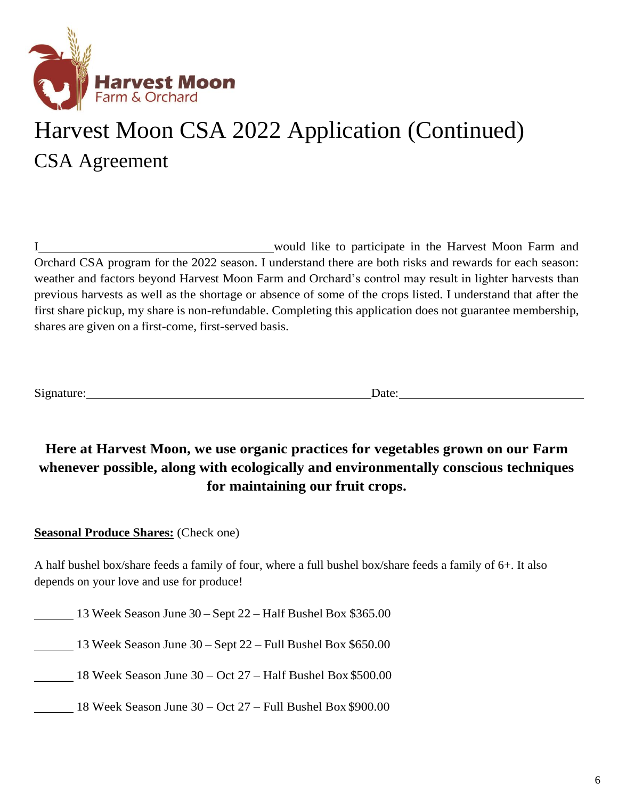

# Harvest Moon CSA 2022 Application (Continued) CSA Agreement

I would like to participate in the Harvest Moon Farm and Orchard CSA program for the 2022 season. I understand there are both risks and rewards for each season: weather and factors beyond Harvest Moon Farm and Orchard's control may result in lighter harvests than previous harvests as well as the shortage or absence of some of the crops listed. I understand that after the first share pickup, my share is non-refundable. Completing this application does not guarantee membership, shares are given on a first-come, first-served basis.

Signature: Date: Date:

### **Here at Harvest Moon, we use organic practices for vegetables grown on our Farm whenever possible, along with ecologically and environmentally conscious techniques for maintaining our fruit crops.**

#### **Seasonal Produce Shares:** (Check one)

A half bushel box/share feeds a family of four, where a full bushel box/share feeds a family of 6+. It also depends on your love and use for produce!

13 Week Season June 30 – Sept 22 – Half Bushel Box \$365.00

13 Week Season June 30 – Sept 22 – Full Bushel Box \$650.00

18 Week Season June 30 – Oct 27 – Half Bushel Box \$500.00

18 Week Season June 30 – Oct 27 – Full Bushel Box \$900.00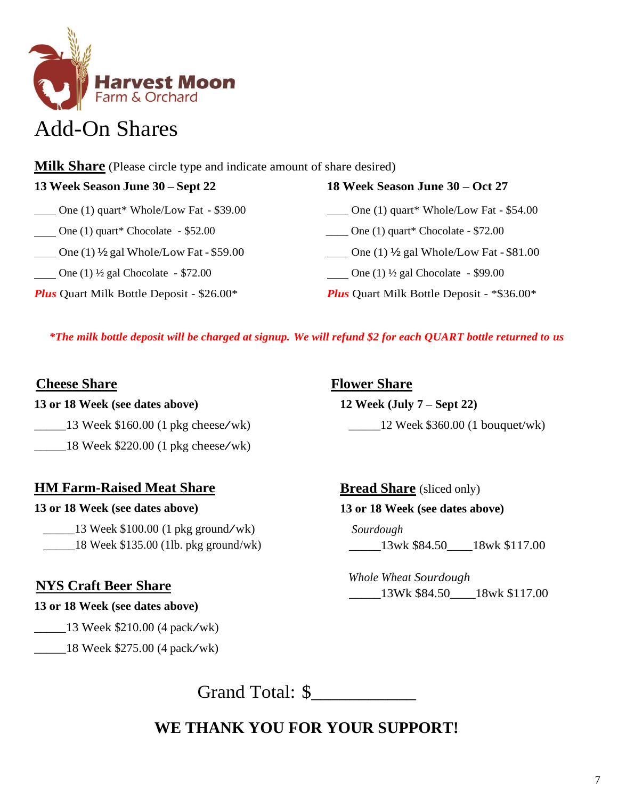

# Add-On Shares

**Milk Share** (Please circle type and indicate amount of share desired)

| 13 Week Season June 30 – Sept 22                             | 18 Week Season June 30 – Oct 27                              |  |
|--------------------------------------------------------------|--------------------------------------------------------------|--|
| $\frac{1}{2}$ One (1) quart* Whole/Low Fat - \$39.00         | $\frac{1}{2}$ One (1) quart* Whole/Low Fat - \$54.00         |  |
| $\frac{1}{2}$ One (1) quart* Chocolate - \$52.00             | $\frac{1}{2}$ One (1) quart* Chocolate - \$72.00             |  |
| One (1) $\frac{1}{2}$ gal Whole/Low Fat - \$59.00            | One (1) $\frac{1}{2}$ gal Whole/Low Fat - \$81.00            |  |
| <b>Convergence</b> (1) $\frac{1}{2}$ gal Chocolate - \$72.00 | <b>Convergence</b> (1) $\frac{1}{2}$ gal Chocolate - \$99.00 |  |
| <b>Plus</b> Quart Milk Bottle Deposit - \$26.00*             | <b>Plus</b> Quart Milk Bottle Deposit - *\$36.00*            |  |

*\*The milk bottle deposit will be charged at signup. We will refund \$2 for each QUART bottle returned to us*

#### **Cheese Share**

#### **13 or 18 Week (see dates above)**

- $\frac{13 \text{ week } $160.00 \text{ (1 pkg cheese/wk)}}{2 \text{44}}$
- $\frac{18}{220.00}$  (1 pkg cheese/wk)

#### **HM Farm-Raised Meat Share**

#### **13 or 18 Week (see dates above)**

 $\qquad$  13 Week \$100.00 (1 pkg ground/wk) \_\_\_\_\_18 Week \$135.00 (1lb. pkg ground/wk)

### **NYS Craft Beer Share**

#### **13 or 18 Week (see dates above)**

 $\frac{13 \text{ week } $210.00 (4 \text{ pack}/\text{wk})}{210.00 (4 \text{ pack}/\text{wk})}$ 

\_\_\_\_\_18 Week \$275.00 (4 pack/wk)

**Flower Share**

### **12 Week (July 7 – Sept 22)**

\_\_\_\_\_12 Week \$360.00 (1 bouquet/wk)

**Bread Share** (sliced only)

#### **13 or 18 Week (see dates above)**

 *Sourdough* \_\_\_\_\_13wk \$84.50\_\_\_\_18wk \$117.00

 *Whole Wheat Sourdough* \_\_\_\_\_13Wk \$84.50\_\_\_\_18wk \$117.00

Grand Total: \$

**WE THANK YOU FOR YOUR SUPPORT!**